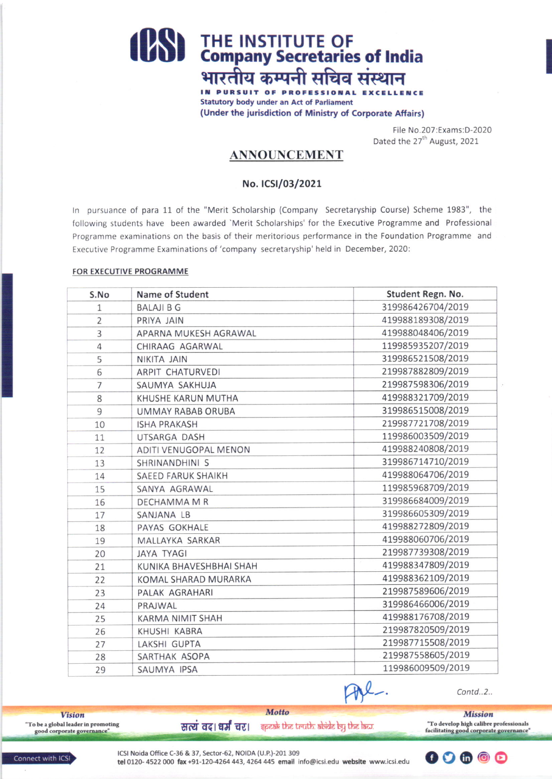# THE INSTITUTE OF<br>
Company Secretaries of India भारतीय कम्पनी सचिव संस्थान

IN PURSUIT OF PROFESSIONAL EXCELLENCE **Statutory body under an Act of Parliament** (Under the jurisdiction of Ministry of Corporate Affairs)

> File No.207:Exams:D-2020 Dated the 27<sup>th</sup> August, 2021

## **ANNOUNCEMENT**

### No. ICSI/03/2021

In pursuance of para 11 of the "Merit Scholarship (Company Secretaryship Course) Scheme 1983", the following students have been awarded 'Merit Scholarships' for the Executive Programme and Professional Programme examinations on the basis of their meritorious performance in the Foundation Programme and Executive Programme Examinations of 'company secretaryship' held in December, 2020:

#### FOR EXECUTIVE PROGRAMME

| S.No           | Name of Student           | Student Regn. No. |
|----------------|---------------------------|-------------------|
| 1              | <b>BALAJI B G</b>         | 319986426704/2019 |
| $\overline{2}$ | PRIYA JAIN                | 419988189308/2019 |
| 3              | APARNA MUKESH AGRAWAL     | 419988048406/2019 |
| $\overline{4}$ | CHIRAAG AGARWAL           | 119985935207/2019 |
| 5              | NIKITA JAIN               | 319986521508/2019 |
| 6              | ARPIT CHATURVEDI          | 219987882809/2019 |
| $\overline{7}$ | SAUMYA SAKHUJA            | 219987598306/2019 |
| 8              | KHUSHE KARUN MUTHA        | 419988321709/2019 |
| 9              | <b>UMMAY RABAB ORUBA</b>  | 319986515008/2019 |
| 10             | <b>ISHA PRAKASH</b>       | 219987721708/2019 |
| 11             | UTSARGA DASH              | 119986003509/2019 |
| 12             | ADITI VENUGOPAL MENON     | 419988240808/2019 |
| 13             | SHRINANDHINI S            | 319986714710/2019 |
| 14             | <b>SAEED FARUK SHAIKH</b> | 419988064706/2019 |
| 15             | SANYA AGRAWAL             | 119985968709/2019 |
| 16             | DECHAMMA M R              | 319986684009/2019 |
| 17             | SANJANA LB                | 319986605309/2019 |
| 18             | PAYAS GOKHALE             | 419988272809/2019 |
| 19             | MALLAYKA SARKAR           | 419988060706/2019 |
| 20             | <b>JAYA TYAGI</b>         | 219987739308/2019 |
| 21             | KUNIKA BHAVESHBHAI SHAH   | 419988347809/2019 |
| 22             | KOMAL SHARAD MURARKA      | 419988362109/2019 |
| 23             | PALAK AGRAHARI            | 219987589606/2019 |
| 24             | PRAJWAL                   | 319986466006/2019 |
| 25             | <b>KARMA NIMIT SHAH</b>   | 419988176708/2019 |
| 26             | KHUSHI KABRA              | 219987820509/2019 |
| 27             | LAKSHI GUPTA              | 219987715508/2019 |
| 28             | SARTHAK ASOPA             | 219987558605/2019 |
| 29             | SAUMYA IPSA               | 119986009509/2019 |

Contd..2..

**Vision** "To be a global leader in promoting good corporate governance"

सत्यं वद। धर्मं चर। इत्या के the truth abide by the law.

**Mission** "To develop high calibre professionals<br>facilitating good corporate governance"

Connect with ICSI

**Motto**